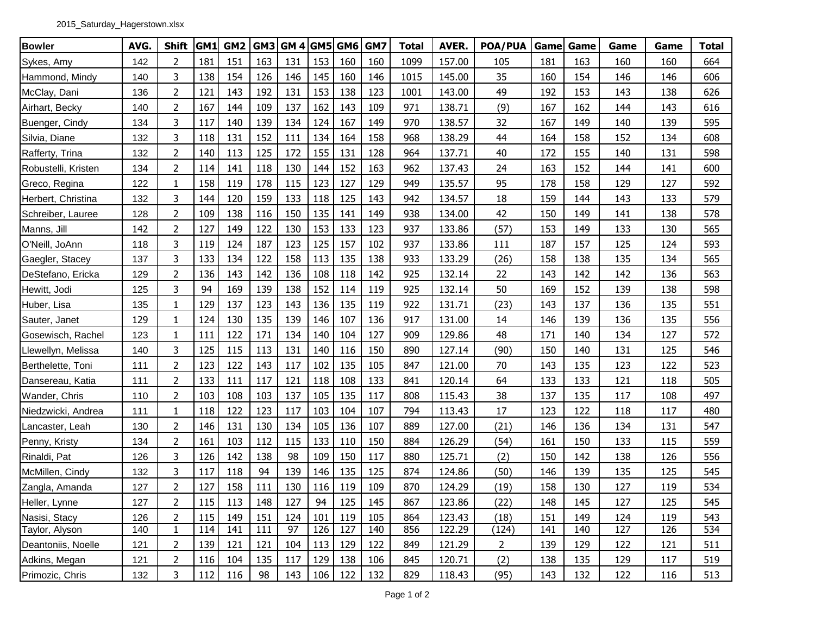| <b>Bowler</b>       | AVG. | <b>Shift</b>   | GM1 | GM <sub>2</sub> | GM3 | <b>GM 4 GM5 GM6</b> |     |     | GM7 | <b>Total</b> | AVER.  | <b>POA/PUA</b> | Game | Game | Game | Game | <b>Total</b> |
|---------------------|------|----------------|-----|-----------------|-----|---------------------|-----|-----|-----|--------------|--------|----------------|------|------|------|------|--------------|
| Sykes, Amy          | 142  | 2              | 181 | 151             | 163 | 131                 | 153 | 160 | 160 | 1099         | 157.00 | 105            | 181  | 163  | 160  | 160  | 664          |
| Hammond, Mindy      | 140  | 3              | 138 | 154             | 126 | 146                 | 145 | 160 | 146 | 1015         | 145.00 | 35             | 160  | 154  | 146  | 146  | 606          |
| McClay, Dani        | 136  | $\overline{2}$ | 121 | 143             | 192 | 131                 | 153 | 138 | 123 | 1001         | 143.00 | 49             | 192  | 153  | 143  | 138  | 626          |
| Airhart, Becky      | 140  | $\overline{2}$ | 167 | 144             | 109 | 137                 | 162 | 143 | 109 | 971          | 138.71 | (9)            | 167  | 162  | 144  | 143  | 616          |
| Buenger, Cindy      | 134  | 3              | 117 | 140             | 139 | 134                 | 124 | 167 | 149 | 970          | 138.57 | 32             | 167  | 149  | 140  | 139  | 595          |
| Silvia, Diane       | 132  | 3              | 118 | 131             | 152 | 111                 | 134 | 164 | 158 | 968          | 138.29 | 44             | 164  | 158  | 152  | 134  | 608          |
| Rafferty, Trina     | 132  | $\overline{2}$ | 140 | 113             | 125 | 172                 | 155 | 131 | 128 | 964          | 137.71 | 40             | 172  | 155  | 140  | 131  | 598          |
| Robustelli, Kristen | 134  | $\overline{2}$ | 114 | 141             | 118 | 130                 | 144 | 152 | 163 | 962          | 137.43 | 24             | 163  | 152  | 144  | 141  | 600          |
| Greco, Regina       | 122  | $\mathbf{1}$   | 158 | 119             | 178 | 115                 | 123 | 127 | 129 | 949          | 135.57 | 95             | 178  | 158  | 129  | 127  | 592          |
| Herbert, Christina  | 132  | 3              | 144 | 120             | 159 | 133                 | 118 | 125 | 143 | 942          | 134.57 | 18             | 159  | 144  | 143  | 133  | 579          |
| Schreiber, Lauree   | 128  | $\overline{2}$ | 109 | 138             | 116 | 150                 | 135 | 141 | 149 | 938          | 134.00 | 42             | 150  | 149  | 141  | 138  | 578          |
| Manns, Jill         | 142  | $\overline{2}$ | 127 | 149             | 122 | 130                 | 153 | 133 | 123 | 937          | 133.86 | (57)           | 153  | 149  | 133  | 130  | 565          |
| O'Neill, JoAnn      | 118  | 3              | 119 | 124             | 187 | 123                 | 125 | 157 | 102 | 937          | 133.86 | 111            | 187  | 157  | 125  | 124  | 593          |
| Gaegler, Stacey     | 137  | 3              | 133 | 134             | 122 | 158                 | 113 | 135 | 138 | 933          | 133.29 | (26)           | 158  | 138  | 135  | 134  | 565          |
| DeStefano, Ericka   | 129  | $\overline{2}$ | 136 | 143             | 142 | 136                 | 108 | 118 | 142 | 925          | 132.14 | 22             | 143  | 142  | 142  | 136  | 563          |
| Hewitt, Jodi        | 125  | 3              | 94  | 169             | 139 | 138                 | 152 | 114 | 119 | 925          | 132.14 | 50             | 169  | 152  | 139  | 138  | 598          |
| Huber, Lisa         | 135  | $\mathbf{1}$   | 129 | 137             | 123 | 143                 | 136 | 135 | 119 | 922          | 131.71 | (23)           | 143  | 137  | 136  | 135  | 551          |
| Sauter, Janet       | 129  | $\mathbf{1}$   | 124 | 130             | 135 | 139                 | 146 | 107 | 136 | 917          | 131.00 | 14             | 146  | 139  | 136  | 135  | 556          |
| Gosewisch, Rachel   | 123  | $\mathbf{1}$   | 111 | 122             | 171 | 134                 | 140 | 104 | 127 | 909          | 129.86 | 48             | 171  | 140  | 134  | 127  | 572          |
| Llewellyn, Melissa  | 140  | 3              | 125 | 115             | 113 | 131                 | 140 | 116 | 150 | 890          | 127.14 | (90)           | 150  | 140  | 131  | 125  | 546          |
| Berthelette, Toni   | 111  | $\overline{2}$ | 123 | 122             | 143 | 117                 | 102 | 135 | 105 | 847          | 121.00 | 70             | 143  | 135  | 123  | 122  | 523          |
| Dansereau, Katia    | 111  | $\overline{2}$ | 133 | 111             | 117 | 121                 | 118 | 108 | 133 | 841          | 120.14 | 64             | 133  | 133  | 121  | 118  | 505          |
| Wander, Chris       | 110  | $\overline{2}$ | 103 | 108             | 103 | 137                 | 105 | 135 | 117 | 808          | 115.43 | 38             | 137  | 135  | 117  | 108  | 497          |
| Niedzwicki, Andrea  | 111  | $\mathbf{1}$   | 118 | 122             | 123 | 117                 | 103 | 104 | 107 | 794          | 113.43 | 17             | 123  | 122  | 118  | 117  | 480          |
| Lancaster, Leah     | 130  | 2              | 146 | 131             | 130 | 134                 | 105 | 136 | 107 | 889          | 127.00 | (21)           | 146  | 136  | 134  | 131  | 547          |
| Penny, Kristy       | 134  | $\overline{2}$ | 161 | 103             | 112 | 115                 | 133 | 110 | 150 | 884          | 126.29 | (54)           | 161  | 150  | 133  | 115  | 559          |
| Rinaldi, Pat        | 126  | 3              | 126 | 142             | 138 | 98                  | 109 | 150 | 117 | 880          | 125.71 | (2)            | 150  | 142  | 138  | 126  | 556          |
| McMillen, Cindy     | 132  | 3              | 117 | 118             | 94  | 139                 | 146 | 135 | 125 | 874          | 124.86 | (50)           | 146  | 139  | 135  | 125  | 545          |
| Zangla, Amanda      | 127  | $\overline{2}$ | 127 | 158             | 111 | 130                 | 116 | 119 | 109 | 870          | 124.29 | (19)           | 158  | 130  | 127  | 119  | 534          |
| Heller, Lynne       | 127  | 2              | 115 | 113             | 148 | 127                 | 94  | 125 | 145 | 867          | 123.86 | (22)           | 148  | 145  | 127  | 125  | 545          |
| Nasisi, Stacy       | 126  | $\overline{2}$ | 115 | 149             | 151 | 124                 | 101 | 119 | 105 | 864          | 123.43 | (18)           | 151  | 149  | 124  | 119  | 543          |
| Taylor, Alyson      | 140  | $\mathbf{1}$   | 114 | 141             | 111 | 97                  | 126 | 127 | 140 | 856          | 122.29 | (124)          | 141  | 140  | 127  | 126  | 534          |
| Deantoniis, Noelle  | 121  | 2              | 139 | 121             | 121 | 104                 | 113 | 129 | 122 | 849          | 121.29 | $\overline{2}$ | 139  | 129  | 122  | 121  | 511          |
| Adkins, Megan       | 121  | 2              | 116 | 104             | 135 | 117                 | 129 | 138 | 106 | 845          | 120.71 | (2)            | 138  | 135  | 129  | 117  | 519          |
| Primozic, Chris     | 132  | $\mathbf{3}$   | 112 | 116             | 98  | 143                 | 106 | 122 | 132 | 829          | 118.43 | (95)           | 143  | 132  | 122  | 116  | 513          |